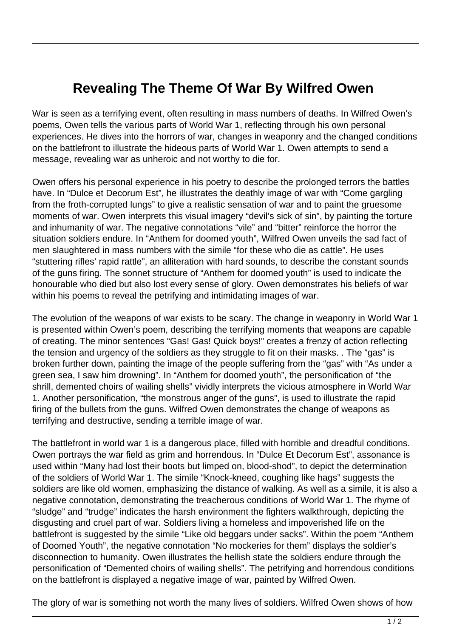## **Revealing The Theme Of War By Wilfred Owen**

War is seen as a terrifying event, often resulting in mass numbers of deaths. In Wilfred Owen's poems, Owen tells the various parts of World War 1, reflecting through his own personal experiences. He dives into the horrors of war, changes in weaponry and the changed conditions on the battlefront to illustrate the hideous parts of World War 1. Owen attempts to send a message, revealing war as unheroic and not worthy to die for.

Owen offers his personal experience in his poetry to describe the prolonged terrors the battles have. In "Dulce et Decorum Est", he illustrates the deathly image of war with "Come gargling from the froth-corrupted lungs" to give a realistic sensation of war and to paint the gruesome moments of war. Owen interprets this visual imagery "devil's sick of sin", by painting the torture and inhumanity of war. The negative connotations "vile" and "bitter" reinforce the horror the situation soldiers endure. In "Anthem for doomed youth", Wilfred Owen unveils the sad fact of men slaughtered in mass numbers with the simile "for these who die as cattle". He uses "stuttering rifles' rapid rattle", an alliteration with hard sounds, to describe the constant sounds of the guns firing. The sonnet structure of "Anthem for doomed youth" is used to indicate the honourable who died but also lost every sense of glory. Owen demonstrates his beliefs of war within his poems to reveal the petrifying and intimidating images of war.

The evolution of the weapons of war exists to be scary. The change in weaponry in World War 1 is presented within Owen's poem, describing the terrifying moments that weapons are capable of creating. The minor sentences "Gas! Gas! Quick boys!" creates a frenzy of action reflecting the tension and urgency of the soldiers as they struggle to fit on their masks. . The "gas" is broken further down, painting the image of the people suffering from the "gas" with "As under a green sea, I saw him drowning". In "Anthem for doomed youth", the personification of "the shrill, demented choirs of wailing shells" vividly interprets the vicious atmosphere in World War 1. Another personification, "the monstrous anger of the guns", is used to illustrate the rapid firing of the bullets from the guns. Wilfred Owen demonstrates the change of weapons as terrifying and destructive, sending a terrible image of war.

The battlefront in world war 1 is a dangerous place, filled with horrible and dreadful conditions. Owen portrays the war field as grim and horrendous. In "Dulce Et Decorum Est", assonance is used within "Many had lost their boots but limped on, blood-shod", to depict the determination of the soldiers of World War 1. The simile "Knock-kneed, coughing like hags" suggests the soldiers are like old women, emphasizing the distance of walking. As well as a simile, it is also a negative connotation, demonstrating the treacherous conditions of World War 1. The rhyme of "sludge" and "trudge" indicates the harsh environment the fighters walkthrough, depicting the disgusting and cruel part of war. Soldiers living a homeless and impoverished life on the battlefront is suggested by the simile "Like old beggars under sacks". Within the poem "Anthem of Doomed Youth", the negative connotation "No mockeries for them" displays the soldier's disconnection to humanity. Owen illustrates the hellish state the soldiers endure through the personification of "Demented choirs of wailing shells". The petrifying and horrendous conditions on the battlefront is displayed a negative image of war, painted by Wilfred Owen.

The glory of war is something not worth the many lives of soldiers. Wilfred Owen shows of how